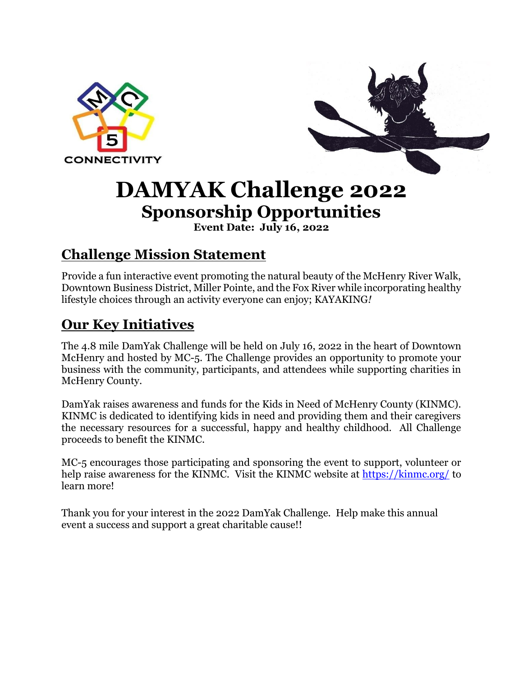



# **DAMYAK Challenge 2022 Sponsorship Opportunities**

**Event Date: July 16, 2022**

## **Challenge Mission Statement**

Provide a fun interactive event promoting the natural beauty of the McHenry River Walk, Downtown Business District, Miller Pointe, and the Fox River while incorporating healthy lifestyle choices through an activity everyone can enjoy; KAYAKING*!* 

# **Our Key Initiatives**

The 4.8 mile DamYak Challenge will be held on July 16, 2022 in the heart of Downtown McHenry and hosted by MC-5. The Challenge provides an opportunity to promote your business with the community, participants, and attendees while supporting charities in McHenry County.

DamYak raises awareness and funds for the Kids in Need of McHenry County (KINMC). KINMC is dedicated to identifying kids in need and providing them and their caregivers the necessary resources for a successful, happy and healthy childhood. All Challenge proceeds to benefit the KINMC.

MC-5 encourages those participating and sponsoring the event to support, volunteer or help raise awareness for the KINMC. Visit the KINMC website at<https://kinmc.org/> to learn more!

Thank you for your interest in the 2022 DamYak Challenge. Help make this annual event a success and support a great charitable cause!!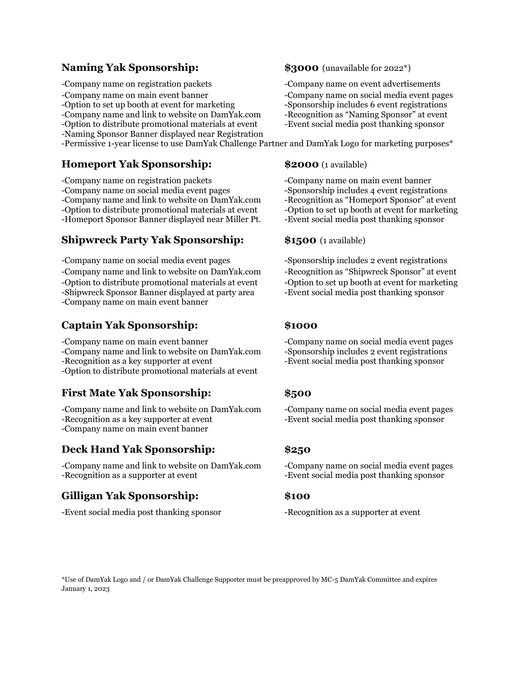### **Naming Yak Sponsorship:**  $$3000$  (unavailable for 2022\*)

-Company name on registration packets -Company name on event advertisements

-Option to set up booth at event for marketing

-Naming Sponsor Banner displayed near Registration

-Permissive 1-year license to use DamYak Challenge Partner and DamYak Logo for marketing purposes\*

### **Homeport Yak Sponsorship: \$2000** (1 available)

-Company name on registration packets -Company name on main event banner -Company name on social media event pages -Sponsorship includes 4 event registrations -Company name and link to website on DamYak.com -Recognition as "Homeport Sponsor" at event -Option to distribute promotional materials at event -Option to set up booth at event for marketing -Homeport Sponsor Banner displayed near Miller Pt. - -Event social media post thanking sponsor

### **Shipwreck Party Yak Sponsorship:** \$1500 (1 available)

-Company name on social media event pages -Sponsorship includes 2 event registrations -Company name and link to website on DamYak.com -Recognition as "Shipwreck Sponsor" at event -Option to distribute promotional materials at event -Option to set up booth at event for marketing -Shipwreck Sponsor Banner displayed at party area -Event social media post thanking sponsor -Company name on main event banner

### **Captain Yak Sponsorship: \$1000**

-Company name on main event banner -Company name on social media event pages -Company name and link to website on DamYak.com -Sponsorship includes 2 event registrations -Recognition as a key supporter at event -Event social media post thanking sponsor -Option to distribute promotional materials at event

### **First Mate Yak Sponsorship: \$500**

-Company name and link to website on DamYak.com -Company name on social media event pages -Recognition as a key supporter at event -Event social media post thanking sponsor -Company name on main event banner

### **Deck Hand Yak Sponsorship: \$250**

-Company name and link to website on DamYak.com -Company name on social media event pages -Recognition as a supporter at event -Event social media post thanking sponsor

### **Gilligan Yak Sponsorship: \$100**

-Event social media post thanking sponsor -Recognition as a supporter at event

-Company name on main event banner -Company name on social media event pages<br>-Option to set up booth at event for marketing -Sponsorship includes 6 event registrations -Company name and link to website on DamYak.com -Recognition as "Naming Sponsor" at event -Option to distribute promotional materials at event -Event social media post thanking sponsor

\*Use of DamYak Logo and / or DamYak Challenge Supporter must be preapproved by MC-5 DamYak Committee and expires January 1, 2023